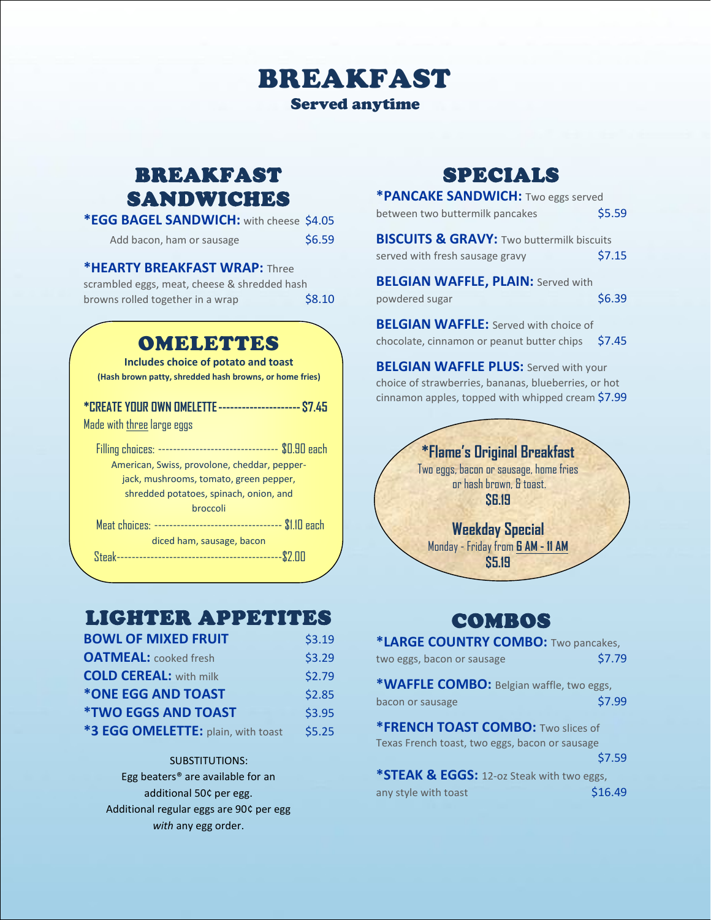# BREAKFAST

Served anytime

### BREAKFAST SANDWICHES

| *EGG BAGEL SANDWICH: with cheese \$4.05 |
|-----------------------------------------|
|-----------------------------------------|

| Add bacon, ham or sausage | \$6.59 |
|---------------------------|--------|
|---------------------------|--------|

#### **\*HEARTY BREAKFAST WRAP:** Three

| scrambled eggs, meat, cheese & shredded hash |        |
|----------------------------------------------|--------|
| browns rolled together in a wrap             | \$8.10 |

### OMELETTES

**Includes choice of potato and toast (Hash brown patty, shredded hash browns, or home fries)**

| <b>*CREATE YOUR OWN OMELETTE --------------------- \$7.45</b>  |
|----------------------------------------------------------------|
| Made with three large eggs                                     |
| Filling choices: --------------------------------- \$0.90 each |
| American, Swiss, provolone, cheddar, pepper-                   |
| jack, mushrooms, tomato, green pepper,                         |
| shredded potatoes, spinach, onion, and                         |
| broccoli                                                       |
|                                                                |
| diced ham, sausage, bacon                                      |
|                                                                |
|                                                                |

## LIGHTER APPETITES

| <b>BOWL OF MIXED FRUIT</b>         | \$3.19 |
|------------------------------------|--------|
| <b>OATMEAL:</b> cooked fresh       | \$3.29 |
| <b>COLD CEREAL:</b> with milk      | \$2.79 |
| *ONE EGG AND TOAST                 | \$2.85 |
| <b><i>*TWO EGGS AND TOAST</i></b>  | \$3.95 |
| *3 EGG OMELETTE: plain, with toast | \$5.25 |

### SUBSTITUTIONS:

Egg beaters® are available for an additional 50¢ per egg. Additional regular eggs are 90¢ per egg *with* any egg order.

## SPECIALS

| *PANCAKE SANDWICH: Two eggs served                   |        |
|------------------------------------------------------|--------|
| between two buttermilk pancakes                      | \$5.59 |
| <b>BISCUITS &amp; GRAVY: Two buttermilk biscuits</b> |        |
| served with fresh sausage gravy                      | \$7.15 |
| <b>BELGIAN WAFFLE, PLAIN: Served with</b>            |        |
| powdered sugar                                       | \$6.39 |
| <b>BELGIAN WAFFLE:</b> Served with choice of         |        |
| chocolate, cinnamon or peanut butter chips           | \$7.45 |
| <b>BELGIAN WAFFLE PLUS: Served with your</b>         |        |
| choice of strawberries, bananas, blueberries, or hot |        |
| cinnamon apples, topped with whipped cream \$7.99    |        |



## COMBOS

| *LARGE COUNTRY COMBO: Two pancakes,            |         |  |
|------------------------------------------------|---------|--|
| two eggs, bacon or sausage                     | \$7.79  |  |
| *WAFFLE COMBO: Belgian waffle, two eggs,       |         |  |
| bacon or sausage                               | \$7.99  |  |
| *FRENCH TOAST COMBO: Two slices of             |         |  |
| Texas French toast, two eggs, bacon or sausage |         |  |
|                                                | \$7.59  |  |
| *STEAK & EGGS: 12-oz Steak with two eggs,      |         |  |
| any style with toast                           | \$16.49 |  |